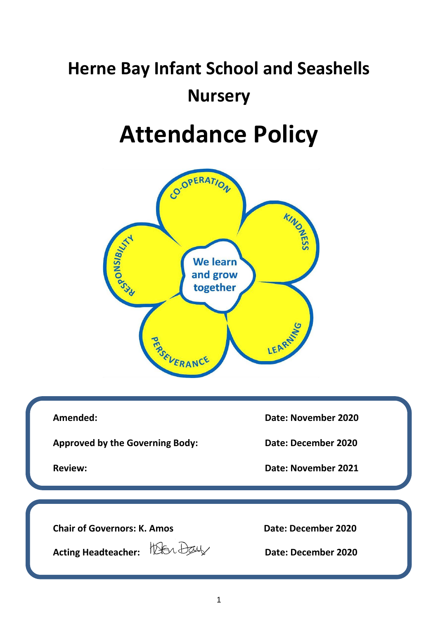## **Herne Bay Infant School and Seashells Nursery**

# **Attendance Policy**



**Approved by the Governing Body: Date: December 2020**

**Amended: Date: November 2020**

**Review: Date: November 2021**

**Chair of Governors: K. Amos** Date: December 2020

**Acting Headteacher: Date: December 2020**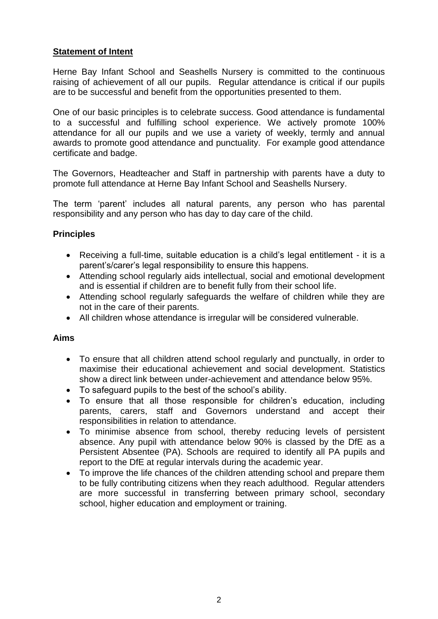## **Statement of Intent**

Herne Bay Infant School and Seashells Nursery is committed to the continuous raising of achievement of all our pupils. Regular attendance is critical if our pupils are to be successful and benefit from the opportunities presented to them.

One of our basic principles is to celebrate success. Good attendance is fundamental to a successful and fulfilling school experience. We actively promote 100% attendance for all our pupils and we use a variety of weekly, termly and annual awards to promote good attendance and punctuality. For example good attendance certificate and badge.

The Governors, Headteacher and Staff in partnership with parents have a duty to promote full attendance at Herne Bay Infant School and Seashells Nursery.

The term 'parent' includes all natural parents, any person who has parental responsibility and any person who has day to day care of the child.

### **Principles**

- Receiving a full-time, suitable education is a child's legal entitlement it is a parent's/carer's legal responsibility to ensure this happens.
- Attending school regularly aids intellectual, social and emotional development and is essential if children are to benefit fully from their school life.
- Attending school regularly safeguards the welfare of children while they are not in the care of their parents.
- All children whose attendance is irregular will be considered vulnerable.

#### **Aims**

- To ensure that all children attend school regularly and punctually, in order to maximise their educational achievement and social development. Statistics show a direct link between under-achievement and attendance below 95%.
- To safeguard pupils to the best of the school's ability.
- To ensure that all those responsible for children's education, including parents, carers, staff and Governors understand and accept their responsibilities in relation to attendance.
- To minimise absence from school, thereby reducing levels of persistent absence. Any pupil with attendance below 90% is classed by the DfE as a Persistent Absentee (PA). Schools are required to identify all PA pupils and report to the DfE at regular intervals during the academic year.
- To improve the life chances of the children attending school and prepare them to be fully contributing citizens when they reach adulthood. Regular attenders are more successful in transferring between primary school, secondary school, higher education and employment or training.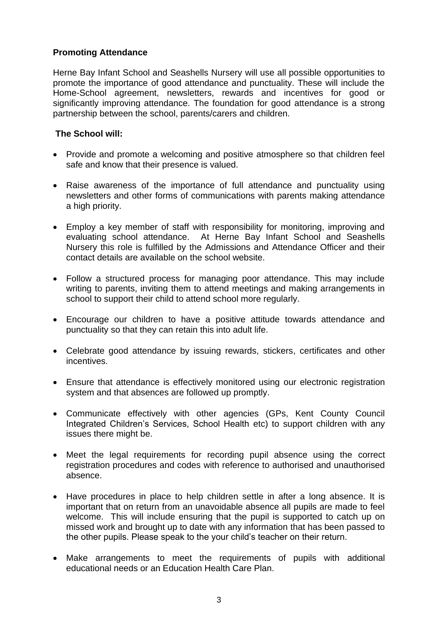#### **Promoting Attendance**

Herne Bay Infant School and Seashells Nursery will use all possible opportunities to promote the importance of good attendance and punctuality. These will include the Home-School agreement, newsletters, rewards and incentives for good or significantly improving attendance. The foundation for good attendance is a strong partnership between the school, parents/carers and children.

#### **The School will:**

- Provide and promote a welcoming and positive atmosphere so that children feel safe and know that their presence is valued.
- Raise awareness of the importance of full attendance and punctuality using newsletters and other forms of communications with parents making attendance a high priority.
- Employ a key member of staff with responsibility for monitoring, improving and evaluating school attendance. At Herne Bay Infant School and Seashells Nursery this role is fulfilled by the Admissions and Attendance Officer and their contact details are available on the school website.
- Follow a structured process for managing poor attendance. This may include writing to parents, inviting them to attend meetings and making arrangements in school to support their child to attend school more regularly.
- Encourage our children to have a positive attitude towards attendance and punctuality so that they can retain this into adult life.
- Celebrate good attendance by issuing rewards, stickers, certificates and other incentives.
- Ensure that attendance is effectively monitored using our electronic registration system and that absences are followed up promptly.
- Communicate effectively with other agencies (GPs, Kent County Council Integrated Children's Services, School Health etc) to support children with any issues there might be.
- Meet the legal requirements for recording pupil absence using the correct registration procedures and codes with reference to authorised and unauthorised absence.
- Have procedures in place to help children settle in after a long absence. It is important that on return from an unavoidable absence all pupils are made to feel welcome. This will include ensuring that the pupil is supported to catch up on missed work and brought up to date with any information that has been passed to the other pupils. Please speak to the your child's teacher on their return.
- Make arrangements to meet the requirements of pupils with additional educational needs or an Education Health Care Plan.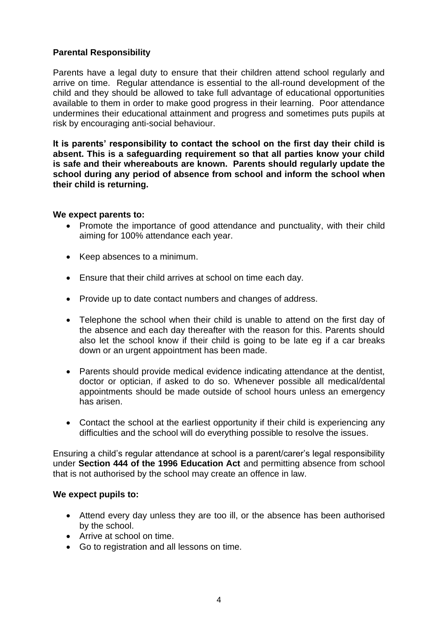### **Parental Responsibility**

Parents have a legal duty to ensure that their children attend school regularly and arrive on time. Regular attendance is essential to the all-round development of the child and they should be allowed to take full advantage of educational opportunities available to them in order to make good progress in their learning. Poor attendance undermines their educational attainment and progress and sometimes puts pupils at risk by encouraging anti-social behaviour.

**It is parents' responsibility to contact the school on the first day their child is absent. This is a safeguarding requirement so that all parties know your child is safe and their whereabouts are known. Parents should regularly update the school during any period of absence from school and inform the school when their child is returning.**

#### **We expect parents to:**

- Promote the importance of good attendance and punctuality, with their child aiming for 100% attendance each year.
- Keep absences to a minimum.
- Ensure that their child arrives at school on time each day.
- Provide up to date contact numbers and changes of address.
- Telephone the school when their child is unable to attend on the first day of the absence and each day thereafter with the reason for this. Parents should also let the school know if their child is going to be late eg if a car breaks down or an urgent appointment has been made.
- Parents should provide medical evidence indicating attendance at the dentist, doctor or optician, if asked to do so. Whenever possible all medical/dental appointments should be made outside of school hours unless an emergency has arisen.
- Contact the school at the earliest opportunity if their child is experiencing any difficulties and the school will do everything possible to resolve the issues.

Ensuring a child's regular attendance at school is a parent/carer's legal responsibility under **Section 444 of the 1996 Education Act** and permitting absence from school that is not authorised by the school may create an offence in law.

#### **We expect pupils to:**

- Attend every day unless they are too ill, or the absence has been authorised by the school.
- Arrive at school on time.
- Go to registration and all lessons on time.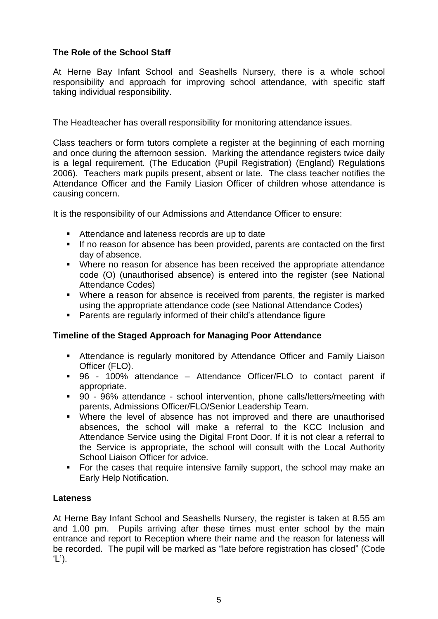## **The Role of the School Staff**

At Herne Bay Infant School and Seashells Nursery, there is a whole school responsibility and approach for improving school attendance, with specific staff taking individual responsibility.

The Headteacher has overall responsibility for monitoring attendance issues.

Class teachers or form tutors complete a register at the beginning of each morning and once during the afternoon session. Marking the attendance registers twice daily is a legal requirement. (The Education (Pupil Registration) (England) Regulations 2006). Teachers mark pupils present, absent or late. The class teacher notifies the Attendance Officer and the Family Liasion Officer of children whose attendance is causing concern.

It is the responsibility of our Admissions and Attendance Officer to ensure:

- Attendance and lateness records are up to date
- If no reason for absence has been provided, parents are contacted on the first day of absence.
- Where no reason for absence has been received the appropriate attendance code (O) (unauthorised absence) is entered into the register (see National Attendance Codes)
- Where a reason for absence is received from parents, the register is marked using the appropriate attendance code (see National Attendance Codes)
- Parents are regularly informed of their child's attendance figure

## **Timeline of the Staged Approach for Managing Poor Attendance**

- **EXECTED Attendance is regularly monitored by Attendance Officer and Family Liaison** Officer (FLO).
- 96 100% attendance Attendance Officer/FLO to contact parent if appropriate.
- 90 96% attendance school intervention, phone calls/letters/meeting with parents, Admissions Officer/FLO/Senior Leadership Team.
- Where the level of absence has not improved and there are unauthorised absences, the school will make a referral to the KCC Inclusion and Attendance Service using the Digital Front Door. If it is not clear a referral to the Service is appropriate, the school will consult with the Local Authority School Liaison Officer for advice.
- For the cases that require intensive family support, the school may make an Early Help Notification.

## **Lateness**

At Herne Bay Infant School and Seashells Nursery, the register is taken at 8.55 am and 1.00 pm. Pupils arriving after these times must enter school by the main entrance and report to Reception where their name and the reason for lateness will be recorded. The pupil will be marked as "late before registration has closed" (Code 'L').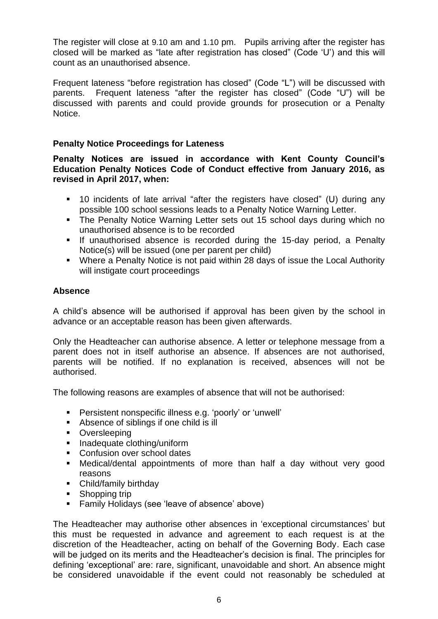The register will close at 9.10 am and 1.10 pm. Pupils arriving after the register has closed will be marked as "late after registration has closed" (Code 'U') and this will count as an unauthorised absence.

Frequent lateness "before registration has closed" (Code "L") will be discussed with parents. Frequent lateness "after the register has closed" (Code "U") will be discussed with parents and could provide grounds for prosecution or a Penalty Notice.

### **Penalty Notice Proceedings for Lateness**

**Penalty Notices are issued in accordance with Kent County Council's Education Penalty Notices Code of Conduct effective from January 2016, as revised in April 2017, when:**

- 10 incidents of late arrival "after the registers have closed" (U) during any possible 100 school sessions leads to a Penalty Notice Warning Letter.
- The Penalty Notice Warning Letter sets out 15 school days during which no unauthorised absence is to be recorded
- **E** If unauthorised absence is recorded during the 15-day period, a Penalty Notice(s) will be issued (one per parent per child)
- Where a Penalty Notice is not paid within 28 days of issue the Local Authority will instigate court proceedings

## **Absence**

A child's absence will be authorised if approval has been given by the school in advance or an acceptable reason has been given afterwards.

Only the Headteacher can authorise absence. A letter or telephone message from a parent does not in itself authorise an absence. If absences are not authorised, parents will be notified. If no explanation is received, absences will not be authorised.

The following reasons are examples of absence that will not be authorised:

- Persistent nonspecific illness e.g. 'poorly' or 'unwell'
- Absence of siblings if one child is ill
- Oversleeping
- Inadequate clothing/uniform
- Confusion over school dates
- Medical/dental appointments of more than half a day without very good reasons
- Child/family birthday
- Shopping trip
- Family Holidays (see 'leave of absence' above)

The Headteacher may authorise other absences in 'exceptional circumstances' but this must be requested in advance and agreement to each request is at the discretion of the Headteacher, acting on behalf of the Governing Body. Each case will be judged on its merits and the Headteacher's decision is final. The principles for defining 'exceptional' are: rare, significant, unavoidable and short. An absence might be considered unavoidable if the event could not reasonably be scheduled at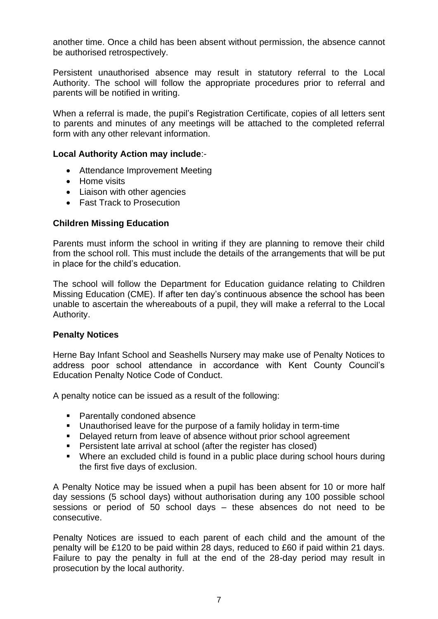another time. Once a child has been absent without permission, the absence cannot be authorised retrospectively.

Persistent unauthorised absence may result in statutory referral to the Local Authority. The school will follow the appropriate procedures prior to referral and parents will be notified in writing.

When a referral is made, the pupil's Registration Certificate, copies of all letters sent to parents and minutes of any meetings will be attached to the completed referral form with any other relevant information.

#### **Local Authority Action may include**:-

- Attendance Improvement Meeting
- Home visits
- Liaison with other agencies
- Fast Track to Prosecution

#### **Children Missing Education**

Parents must inform the school in writing if they are planning to remove their child from the school roll. This must include the details of the arrangements that will be put in place for the child's education.

The school will follow the Department for Education guidance relating to Children Missing Education (CME). If after ten day's continuous absence the school has been unable to ascertain the whereabouts of a pupil, they will make a referral to the Local Authority.

#### **Penalty Notices**

Herne Bay Infant School and Seashells Nursery may make use of Penalty Notices to address poor school attendance in accordance with Kent County Council's Education Penalty Notice Code of Conduct.

A penalty notice can be issued as a result of the following:

- Parentally condoned absence
- Unauthorised leave for the purpose of a family holiday in term-time
- Delayed return from leave of absence without prior school agreement
- Persistent late arrival at school (after the register has closed)
- Where an excluded child is found in a public place during school hours during the first five days of exclusion.

A Penalty Notice may be issued when a pupil has been absent for 10 or more half day sessions (5 school days) without authorisation during any 100 possible school sessions or period of 50 school days – these absences do not need to be consecutive.

Penalty Notices are issued to each parent of each child and the amount of the penalty will be £120 to be paid within 28 days, reduced to £60 if paid within 21 days. Failure to pay the penalty in full at the end of the 28-day period may result in prosecution by the local authority.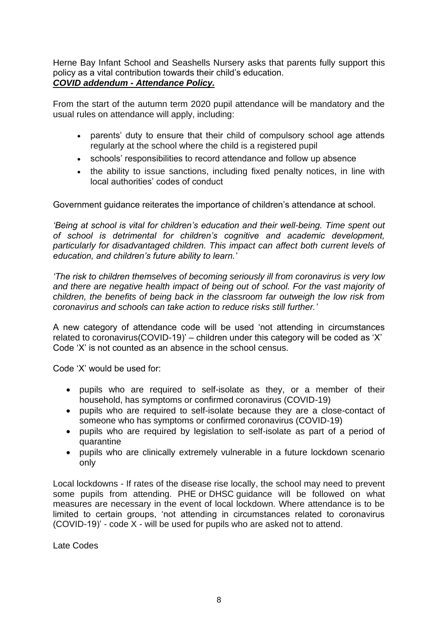Herne Bay Infant School and Seashells Nursery asks that parents fully support this policy as a vital contribution towards their child's education.

## *COVID addendum - Attendance Policy.*

From the start of the autumn term 2020 pupil attendance will be mandatory and the usual rules on attendance will apply, including:

- parents' duty to ensure that their child of compulsory school age attends regularly at the school where the child is a registered pupil
- schools' responsibilities to record attendance and follow up absence
- the ability to issue sanctions, including fixed penalty notices, in line with local authorities' codes of conduct

Government guidance reiterates the importance of children's attendance at school.

*'Being at school is vital for children's education and their well-being. Time spent out of school is detrimental for children's cognitive and academic development, particularly for disadvantaged children. This impact can affect both current levels of education, and children's future ability to learn.'*

*'The risk to children themselves of becoming seriously ill from coronavirus is very low and there are negative health impact of being out of school. For the vast majority of children, the benefits of being back in the classroom far outweigh the low risk from coronavirus and schools can take action to reduce risks still further.'*

A new category of attendance code will be used 'not attending in circumstances related to coronavirus(COVID-19)' – children under this category will be coded as 'X' Code 'X' is not counted as an absence in the school census.

Code 'X' would be used for:

- pupils who are required to self-isolate as they, or a member of their household, has symptoms or confirmed coronavirus (COVID-19)
- pupils who are required to self-isolate because they are a close-contact of someone who has symptoms or confirmed coronavirus (COVID-19)
- pupils who are required by legislation to self-isolate as part of a period of quarantine
- pupils who are clinically extremely vulnerable in a future lockdown scenario only

Local lockdowns - If rates of the disease rise locally, the school may need to prevent some pupils from attending. PHE or DHSC guidance will be followed on what measures are necessary in the event of local lockdown. Where attendance is to be limited to certain groups, 'not attending in circumstances related to coronavirus (COVID-19)' - code X - will be used for pupils who are asked not to attend.

Late Codes